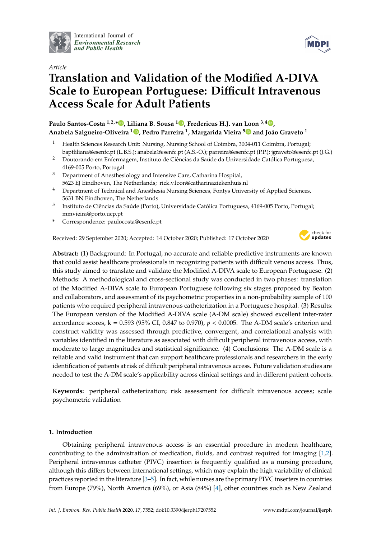

International Journal of *[Environmental Research](http://www.mdpi.com/journal/ijerph) and Public Health*



# **Translation and Validation of the Modified A-DIVA Scale to European Portuguese: Di**ffi**cult Intravenous Access Scale for Adult Patients**

**Paulo Santos-Costa 1,2,\* [,](https://orcid.org/0000-0003-0761-6548) Liliana B. Sousa <sup>1</sup> [,](https://orcid.org/0000-0002-8914-6975) Fredericus H.J. van Loon 3,4 [,](https://orcid.org/0000-0003-3854-6976) Anabela Salgueiro-Oliveira <sup>1</sup> [,](https://orcid.org/0000-0002-8231-8279) Pedro Parreira <sup>1</sup> , Margarida Vieira [5](https://orcid.org/0000-0002-9439-2804) and João Graveto <sup>1</sup>**

- <sup>1</sup> Health Sciences Research Unit: Nursing, Nursing School of Coimbra, 3004-011 Coimbra, Portugal; baptliliana@esenfc.pt (L.B.S.); anabela@esenfc.pt (A.S.-O.); parreira@esenfc.pt (P.P.); jgraveto@esenfc.pt (J.G.)
- <sup>2</sup> Doutorando em Enfermagem, Instituto de Ciências da Saúde da Universidade Católica Portuguesa, 4169-005 Porto, Portugal
- <sup>3</sup> Department of Anesthesiology and Intensive Care, Catharina Hospital, 5623 EJ Eindhoven, The Netherlands; rick.v.loon@catharinaziekenhuis.nl
- <sup>4</sup> Department of Technical and Anesthesia Nursing Sciences, Fontys University of Applied Sciences, 5631 BN Eindhoven, The Netherlands
- 5 Instituto de Ciências da Saúde (Porto), Universidade Católica Portuguesa, 4169-005 Porto, Portugal; mmvieira@porto.ucp.pt
- **\*** Correspondence: paulocosta@esenfc.pt

Received: 29 September 2020; Accepted: 14 October 2020; Published: 17 October 2020



**MDP** 

**Abstract:** (1) Background: In Portugal, no accurate and reliable predictive instruments are known that could assist healthcare professionals in recognizing patients with difficult venous access. Thus, this study aimed to translate and validate the Modified A-DIVA scale to European Portuguese. (2) Methods: A methodological and cross-sectional study was conducted in two phases: translation of the Modified A-DIVA scale to European Portuguese following six stages proposed by Beaton and collaborators, and assessment of its psychometric properties in a non-probability sample of 100 patients who required peripheral intravenous catheterization in a Portuguese hospital. (3) Results: The European version of the Modified A-DIVA scale (A-DM scale) showed excellent inter-rater accordance scores,  $k = 0.593$  (95% CI, 0.847 to 0.970),  $p < 0.0005$ . The A-DM scale's criterion and construct validity was assessed through predictive, convergent, and correlational analysis with variables identified in the literature as associated with difficult peripheral intravenous access, with moderate to large magnitudes and statistical significance. (4) Conclusions: The A-DM scale is a reliable and valid instrument that can support healthcare professionals and researchers in the early identification of patients at risk of difficult peripheral intravenous access. Future validation studies are needed to test the A-DM scale's applicability across clinical settings and in different patient cohorts.

**Keywords:** peripheral catheterization; risk assessment for difficult intravenous access; scale psychometric validation

# **1. Introduction**

Obtaining peripheral intravenous access is an essential procedure in modern healthcare, contributing to the administration of medication, fluids, and contrast required for imaging [\[1,](#page-8-0)[2\]](#page-8-1). Peripheral intravenous catheter (PIVC) insertion is frequently qualified as a nursing procedure, although this differs between international settings, which may explain the high variability of clinical practices reported in the literature [\[3–](#page-8-2)[5\]](#page-8-3). In fact, while nurses are the primary PIVC inserters in countries from Europe (79%), North America (69%), or Asia (84%) [\[4\]](#page-8-4), other countries such as New Zealand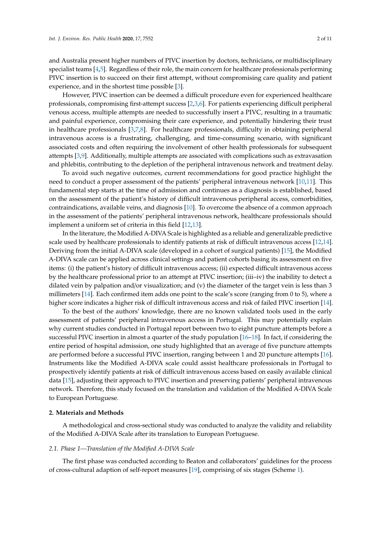and Australia present higher numbers of PIVC insertion by doctors, technicians, or multidisciplinary specialist teams [\[4,](#page-8-4)[5\]](#page-8-3). Regardless of their role, the main concern for healthcare professionals performing PIVC insertion is to succeed on their first attempt, without compromising care quality and patient experience, and in the shortest time possible [\[3\]](#page-8-2).

However, PIVC insertion can be deemed a difficult procedure even for experienced healthcare professionals, compromising first-attempt success [\[2,](#page-8-1)[3](#page-8-2)[,6\]](#page-8-5). For patients experiencing difficult peripheral venous access, multiple attempts are needed to successfully insert a PIVC, resulting in a traumatic and painful experience, compromising their care experience, and potentially hindering their trust in healthcare professionals [\[3,](#page-8-2)[7,](#page-8-6)[8\]](#page-8-7). For healthcare professionals, difficulty in obtaining peripheral intravenous access is a frustrating, challenging, and time-consuming scenario, with significant associated costs and often requiring the involvement of other health professionals for subsequent attempts [\[3](#page-8-2)[,9\]](#page-8-8). Additionally, multiple attempts are associated with complications such as extravasation and phlebitis, contributing to the depletion of the peripheral intravenous network and treatment delay.

To avoid such negative outcomes, current recommendations for good practice highlight the need to conduct a proper assessment of the patients' peripheral intravenous network [\[10](#page-8-9)[,11\]](#page-8-10). This fundamental step starts at the time of admission and continues as a diagnosis is established, based on the assessment of the patient's history of difficult intravenous peripheral access, comorbidities, contraindications, available veins, and diagnosis [\[10\]](#page-8-9). To overcome the absence of a common approach in the assessment of the patients' peripheral intravenous network, healthcare professionals should implement a uniform set of criteria in this field [\[12,](#page-9-0)[13\]](#page-9-1).

In the literature, the Modified A-DIVA Scale is highlighted as a reliable and generalizable predictive scale used by healthcare professionals to identify patients at risk of difficult intravenous access [\[12](#page-9-0)[,14\]](#page-9-2). Deriving from the initial A-DIVA scale (developed in a cohort of surgical patients) [\[15\]](#page-9-3), the Modified A-DIVA scale can be applied across clinical settings and patient cohorts basing its assessment on five items: (i) the patient's history of difficult intravenous access; (ii) expected difficult intravenous access by the healthcare professional prior to an attempt at PIVC insertion; (iii–iv) the inability to detect a dilated vein by palpation and/or visualization; and  $(v)$  the diameter of the target vein is less than 3 millimeters [\[14\]](#page-9-2). Each confirmed item adds one point to the scale's score (ranging from 0 to 5), where a higher score indicates a higher risk of difficult intravenous access and risk of failed PIVC insertion [\[14\]](#page-9-2).

To the best of the authors' knowledge, there are no known validated tools used in the early assessment of patients' peripheral intravenous access in Portugal. This may potentially explain why current studies conducted in Portugal report between two to eight puncture attempts before a successful PIVC insertion in almost a quarter of the study population [\[16](#page-9-4)[–18\]](#page-9-5). In fact, if considering the entire period of hospital admission, one study highlighted that an average of five puncture attempts are performed before a successful PIVC insertion, ranging between 1 and 20 puncture attempts [\[16\]](#page-9-4). Instruments like the Modified A-DIVA scale could assist healthcare professionals in Portugal to prospectively identify patients at risk of difficult intravenous access based on easily available clinical data [\[15\]](#page-9-3), adjusting their approach to PIVC insertion and preserving patients' peripheral intravenous network. Therefore, this study focused on the translation and validation of the Modified A-DIVA Scale to European Portuguese.

#### **2. Materials and Methods**

A methodological and cross-sectional study was conducted to analyze the validity and reliability of the Modified A-DIVA Scale after its translation to European Portuguese.

#### *2.1. Phase 1—Translation of the Modified A-DIVA Scale*

The first phase was conducted according to Beaton and collaborators' guidelines for the process of cross-cultural adaption of self-report measures [\[19\]](#page-9-6), comprising of six stages (Scheme [1\)](#page-2-0).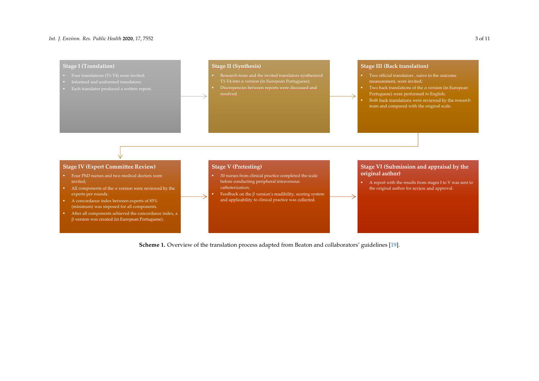<span id="page-2-0"></span>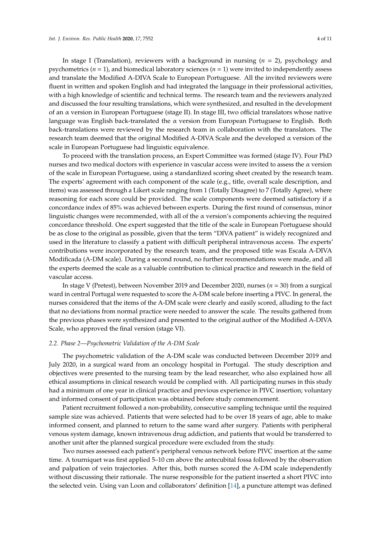In stage I (Translation), reviewers with a background in nursing (*n* = 2), psychology and psychometrics (*n* = 1), and biomedical laboratory sciences (*n* = 1) were invited to independently assess and translate the Modified A-DIVA Scale to European Portuguese. All the invited reviewers were fluent in written and spoken English and had integrated the language in their professional activities, with a high knowledge of scientific and technical terms. The research team and the reviewers analyzed and discussed the four resulting translations, which were synthesized, and resulted in the development of an α version in European Portuguese (stage II). In stage III, two official translators whose native language was English back-translated the α version from European Portuguese to English. Both back-translations were reviewed by the research team in collaboration with the translators. The research team deemed that the original Modified A-DIVA Scale and the developed  $\alpha$  version of the scale in European Portuguese had linguistic equivalence.

To proceed with the translation process, an Expert Committee was formed (stage IV). Four PhD nurses and two medical doctors with experience in vascular access were invited to assess the  $\alpha$  version of the scale in European Portuguese, using a standardized scoring sheet created by the research team. The experts' agreement with each component of the scale (e.g., title, overall scale description, and items) was assessed through a Likert scale ranging from 1 (Totally Disagree) to 7 (Totally Agree), where reasoning for each score could be provided. The scale components were deemed satisfactory if a concordance index of 85% was achieved between experts. During the first round of consensus, minor linguistic changes were recommended, with all of the  $\alpha$  version's components achieving the required concordance threshold. One expert suggested that the title of the scale in European Portuguese should be as close to the original as possible, given that the term "DIVA patient" is widely recognized and used in the literature to classify a patient with difficult peripheral intravenous access. The experts' contributions were incorporated by the research team, and the proposed title was Escala A-DIVA Modificada (A-DM scale). During a second round, no further recommendations were made, and all the experts deemed the scale as a valuable contribution to clinical practice and research in the field of vascular access.

In stage V (Pretest), between November 2019 and December 2020, nurses (*n* = 30) from a surgical ward in central Portugal were requested to score the A-DM scale before inserting a PIVC. In general, the nurses considered that the items of the A-DM scale were clearly and easily scored, alluding to the fact that no deviations from normal practice were needed to answer the scale. The results gathered from the previous phases were synthesized and presented to the original author of the Modified A-DIVA Scale, who approved the final version (stage VI).

### *2.2. Phase 2—Psychometric Validation of the A-DM Scale*

The psychometric validation of the A-DM scale was conducted between December 2019 and July 2020, in a surgical ward from an oncology hospital in Portugal. The study description and objectives were presented to the nursing team by the lead researcher, who also explained how all ethical assumptions in clinical research would be complied with. All participating nurses in this study had a minimum of one year in clinical practice and previous experience in PIVC insertion; voluntary and informed consent of participation was obtained before study commencement.

Patient recruitment followed a non-probability, consecutive sampling technique until the required sample size was achieved. Patients that were selected had to be over 18 years of age, able to make informed consent, and planned to return to the same ward after surgery. Patients with peripheral venous system damage, known intravenous drug addiction, and patients that would be transferred to another unit after the planned surgical procedure were excluded from the study.

Two nurses assessed each patient's peripheral venous network before PIVC insertion at the same time. A tourniquet was first applied 5–10 cm above the antecubital fossa followed by the observation and palpation of vein trajectories. After this, both nurses scored the A-DM scale independently without discussing their rationale. The nurse responsible for the patient inserted a short PIVC into the selected vein. Using van Loon and collaborators' definition [\[14\]](#page-9-2), a puncture attempt was defined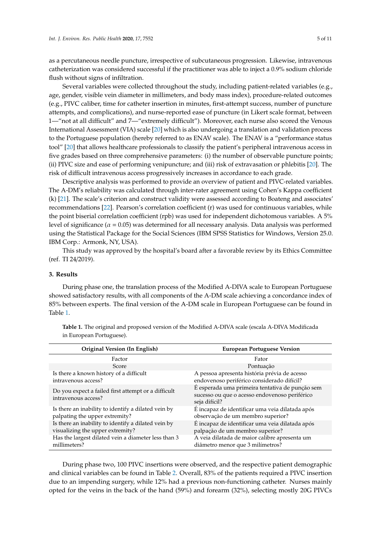as a percutaneous needle puncture, irrespective of subcutaneous progression. Likewise, intravenous catheterization was considered successful if the practitioner was able to inject a 0.9% sodium chloride flush without signs of infiltration.

Several variables were collected throughout the study, including patient-related variables (e.g., age, gender, visible vein diameter in millimeters, and body mass index), procedure-related outcomes (e.g., PIVC caliber, time for catheter insertion in minutes, first-attempt success, number of puncture attempts, and complications), and nurse-reported ease of puncture (in Likert scale format, between 1—"not at all difficult" and 7—"extremely difficult"). Moreover, each nurse also scored the Venous International Assessment (VIA) scale [\[20\]](#page-9-8) which is also undergoing a translation and validation process to the Portuguese population (hereby referred to as ENAV scale). The ENAV is a "performance status tool" [\[20\]](#page-9-8) that allows healthcare professionals to classify the patient's peripheral intravenous access in five grades based on three comprehensive parameters: (i) the number of observable puncture points; (ii) PIVC size and ease of performing venipuncture; and (iii) risk of extravasation or phlebitis [\[20\]](#page-9-8). The risk of difficult intravenous access progressively increases in accordance to each grade.

Descriptive analysis was performed to provide an overview of patient and PIVC-related variables. The A-DM's reliability was calculated through inter-rater agreement using Cohen's Kappa coefficient (k) [\[21\]](#page-9-9). The scale's criterion and construct validity were assessed according to Boateng and associates' recommendations [\[22\]](#page-9-10). Pearson's correlation coefficient (r) was used for continuous variables, while the point biserial correlation coefficient (rpb) was used for independent dichotomous variables. A 5% level of significance ( $\alpha$  = 0.05) was determined for all necessary analysis. Data analysis was performed using the Statistical Package for the Social Sciences (IBM SPSS Statistics for Windows, Version 25.0. IBM Corp.: Armonk, NY, USA).

This study was approved by the hospital's board after a favorable review by its Ethics Committee (ref. TI 24/2019).

#### **3. Results**

During phase one, the translation process of the Modified A-DIVA scale to European Portuguese showed satisfactory results, with all components of the A-DM scale achieving a concordance index of 85% between experts. The final version of the A-DM scale in European Portuguese can be found in Table [1.](#page-4-0)

| Original Version (In English)                                              | <b>European Portuguese Version</b>                                                                                |  |
|----------------------------------------------------------------------------|-------------------------------------------------------------------------------------------------------------------|--|
| Factor                                                                     | Fator                                                                                                             |  |
| Score                                                                      | Pontuação                                                                                                         |  |
| Is there a known history of a difficult                                    | A pessoa apresenta história prévia de acesso                                                                      |  |
| intravenous access?                                                        | endovenoso periférico considerado difícil?                                                                        |  |
| Do you expect a failed first attempt or a difficult<br>intravenous access? | É esperada uma primeira tentativa de punção sem<br>sucesso ou que o acesso endovenoso periférico<br>seja difícil? |  |
| Is there an inability to identify a dilated vein by                        | É incapaz de identificar uma veia dilatada após                                                                   |  |
| palpating the upper extremity?                                             | observação de um membro superior?                                                                                 |  |
| Is there an inability to identify a dilated vein by                        | É incapaz de identificar uma veia dilatada após                                                                   |  |
| visualizing the upper extremity?                                           | palpação de um membro superior?                                                                                   |  |
| Has the largest dilated vein a diameter less than 3                        | A veia dilatada de maior calibre apresenta um                                                                     |  |
| millimeters?                                                               | diâmetro menor que 3 milímetros?                                                                                  |  |

<span id="page-4-0"></span>**Table 1.** The original and proposed version of the Modified A-DIVA scale (escala A-DIVA Modificada in European Portuguese).

During phase two, 100 PIVC insertions were observed, and the respective patient demographic and clinical variables can be found in Table [2.](#page-5-0) Overall, 83% of the patients required a PIVC insertion due to an impending surgery, while 12% had a previous non-functioning catheter. Nurses mainly opted for the veins in the back of the hand (59%) and forearm (32%), selecting mostly 20G PIVCs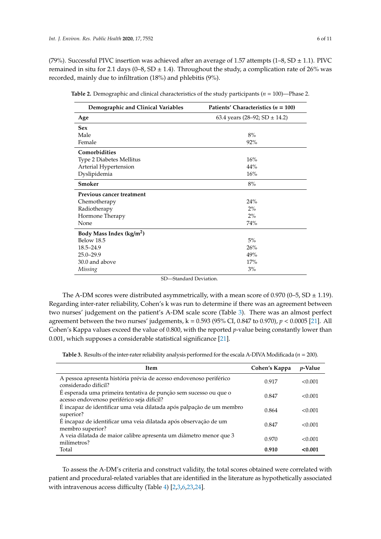(79%). Successful PIVC insertion was achieved after an average of 1.57 attempts (1–8, SD  $\pm$  1.1). PIVC remained in situ for 2.1 days ( $0-8$ ,  $SD \pm 1.4$ ). Throughout the study, a complication rate of 26% was recorded, mainly due to infiltration (18%) and phlebitis (9%).

| Demographic and Clinical Variables   | Patients' Characteristics $(n = 100)$ |  |
|--------------------------------------|---------------------------------------|--|
| Age                                  | 63.4 years (28–92; SD $\pm$ 14.2)     |  |
| <b>Sex</b>                           |                                       |  |
| Male                                 | 8%                                    |  |
| Female                               | 92%                                   |  |
| Comorbidities                        |                                       |  |
| Type 2 Diabetes Mellitus             | 16%                                   |  |
| Arterial Hypertension                | 44%                                   |  |
| Dyslipidemia                         | 16%                                   |  |
| Smoker                               | 8%                                    |  |
| Previous cancer treatment            |                                       |  |
| Chemotherapy                         | 24%                                   |  |
| Radiotherapy                         | $2\%$                                 |  |
| Hormone Therapy                      | $2\%$                                 |  |
| None                                 | 74%                                   |  |
| Body Mass Index (kg/m <sup>2</sup> ) |                                       |  |
| Below 18.5                           | 5%                                    |  |
| $18.5 - 24.9$                        | 26%                                   |  |
| $25.0 - 29.9$                        | 49%                                   |  |
| 30.0 and above                       | 17%                                   |  |
| Missing                              | 3%                                    |  |

<span id="page-5-0"></span>**Table 2.** Demographic and clinical characteristics of the study participants (*n* = 100)—Phase 2.

SD—Standard Deviation.

The A-DM scores were distributed asymmetrically, with a mean score of 0.970 (0–5, SD  $\pm$  1.19). Regarding inter-rater reliability, Cohen's k was run to determine if there was an agreement between two nurses' judgement on the patient's A-DM scale score (Table [3\)](#page-5-1). There was an almost perfect agreement between the two nurses' judgements,  $k = 0.593$  (95% CI, 0.847 to 0.970),  $p < 0.0005$  [\[21\]](#page-9-9). All Cohen's Kappa values exceed the value of 0.800, with the reported *p*-value being constantly lower than 0.001, which supposes a considerable statistical significance [\[21\]](#page-9-9).

<span id="page-5-1"></span>**Table 3.** Results of the inter-rater reliability analysis performed for the escala A-DIVA Modificada (*n* = 200).

| <b>Item</b>                                                                                                    | Cohen's Kappa | <i>p</i> -Value |
|----------------------------------------------------------------------------------------------------------------|---------------|-----------------|
| A pessoa apresenta história prévia de acesso endovenoso periférico<br>considerado difícil?                     | 0.917         | < 0.001         |
| É esperada uma primeira tentativa de punção sem sucesso ou que o<br>acesso endovenoso periférico seja difícil? | 0.847         | < 0.001         |
| É incapaz de identificar uma veia dilatada após palpação de um membro<br>superior?                             | 0.864         | < 0.001         |
| E incapaz de identificar uma veia dilatada após observação de um<br>membro superior?                           | 0.847         | < 0.001         |
| A veia dilatada de maior calibre apresenta um diâmetro menor que 3<br>milímetros?                              | 0.970         | < 0.001         |
| Total                                                                                                          | 0.910         | < 0.001         |

To assess the A-DM's criteria and construct validity, the total scores obtained were correlated with patient and procedural-related variables that are identified in the literature as hypothetically associated with intravenous access difficulty (Table [4\)](#page-6-0) [\[2,](#page-8-1)[3,](#page-8-2)[6,](#page-8-5)[23,](#page-9-11)[24\]](#page-9-12).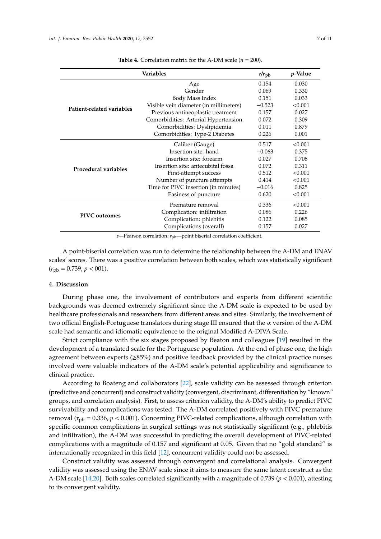<span id="page-6-0"></span>

| <b>Variables</b>          |                                        | $r/r_{\rm pb}$ | <i>p</i> -Value |
|---------------------------|----------------------------------------|----------------|-----------------|
| Patient-related variables | Age                                    | 0.154          | 0.030           |
|                           | Gender                                 | 0.069          | 0.330           |
|                           | Body Mass Index                        | 0.151          | 0.033           |
|                           | Visible vein diameter (in millimeters) | $-0.523$       | < 0.001         |
|                           | Previous antineoplastic treatment      | 0.157          | 0.027           |
|                           | Comorbidities: Arterial Hypertension   | 0.072          | 0.309           |
|                           | Comorbidities: Dyslipidemia            | 0.011          | 0.879           |
|                           | Comorbidities: Type-2 Diabetes         | 0.226          | 0.001           |
| Procedural variables      | Caliber (Gauge)                        | 0.517          | < 0.001         |
|                           | Insertion site: hand                   | $-0.063$       | 0.375           |
|                           | Insertion site: forearm                | 0.027          | 0.708           |
|                           | Insertion site: antecubital fossa      | 0.072          | 0.311           |
|                           | First-attempt success                  | 0.512          | < 0.001         |
|                           | Number of puncture attempts            | 0.414          | < 0.001         |
|                           | Time for PIVC insertion (in minutes)   | $-0.016$       | 0.825           |
|                           | Easiness of puncture                   | 0.620          | < 0.001         |
| <b>PIVC</b> outcomes      | Premature removal                      | 0.336          | < 0.001         |
|                           | Complication: infiltration             | 0.086          | 0.226           |
|                           | Complication: phlebitis                | 0.122          | 0.085           |
|                           | Complications (overall)                | 0.157          | 0.027           |

**Table 4.** Correlation matrix for the A-DM scale ( $n = 200$ ).

r—Pearson correlation;  $r_{pb}$ —point biserial correlation coefficient.

A point-biserial correlation was run to determine the relationship between the A-DM and ENAV scales' scores. There was a positive correlation between both scales, which was statistically significant  $(r_{\text{pb}} = 0.739, p < 001).$ 

## **4. Discussion**

During phase one, the involvement of contributors and experts from different scientific backgrounds was deemed extremely significant since the A-DM scale is expected to be used by healthcare professionals and researchers from different areas and sites. Similarly, the involvement of two official English-Portuguese translators during stage III ensured that the  $\alpha$  version of the A-DM scale had semantic and idiomatic equivalence to the original Modified A-DIVA Scale.

Strict compliance with the six stages proposed by Beaton and colleagues [\[19\]](#page-9-6) resulted in the development of a translated scale for the Portuguese population. At the end of phase one, the high agreement between experts (≥85%) and positive feedback provided by the clinical practice nurses involved were valuable indicators of the A-DM scale's potential applicability and significance to clinical practice.

According to Boateng and collaborators [\[22\]](#page-9-10), scale validity can be assessed through criterion (predictive and concurrent) and construct validity (convergent, discriminant, differentiation by "known" groups, and correlation analysis). First, to assess criterion validity, the A-DM's ability to predict PIVC survivability and complications was tested. The A-DM correlated positively with PIVC premature removal  $(r_{\text{pb}} = 0.336, p < 0.001)$ . Concerning PIVC-related complications, although correlation with specific common complications in surgical settings was not statistically significant (e.g., phlebitis and infiltration), the A-DM was successful in predicting the overall development of PIVC-related complications with a magnitude of 0.157 and significant at 0.05. Given that no "gold standard" is internationally recognized in this field [\[12\]](#page-9-0), concurrent validity could not be assessed.

Construct validity was assessed through convergent and correlational analysis. Convergent validity was assessed using the ENAV scale since it aims to measure the same latent construct as the A-DM scale [\[14](#page-9-2)[,20\]](#page-9-8). Both scales correlated significantly with a magnitude of 0.739 (*p* < 0.001), attesting to its convergent validity.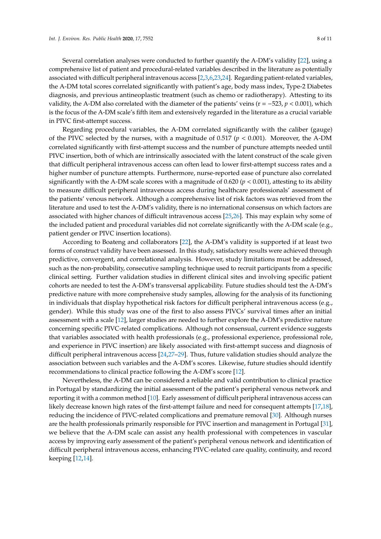Several correlation analyses were conducted to further quantify the A-DM's validity [\[22\]](#page-9-10), using a comprehensive list of patient and procedural-related variables described in the literature as potentially associated with difficult peripheral intravenous access [\[2,](#page-8-1)[3](#page-8-2)[,6](#page-8-5)[,23](#page-9-11)[,24\]](#page-9-12). Regarding patient-related variables, the A-DM total scores correlated significantly with patient's age, body mass index, Type-2 Diabetes diagnosis, and previous antineoplastic treatment (such as chemo or radiotherapy). Attesting to its validity, the A-DM also correlated with the diameter of the patients' veins ( $r = -523$ ,  $p < 0.001$ ), which is the focus of the A-DM scale's fifth item and extensively regarded in the literature as a crucial variable in PIVC first-attempt success.

Regarding procedural variables, the A-DM correlated significantly with the caliber (gauge) of the PIVC selected by the nurses, with a magnitude of 0.517 ( $p < 0.001$ ). Moreover, the A-DM correlated significantly with first-attempt success and the number of puncture attempts needed until PIVC insertion, both of which are intrinsically associated with the latent construct of the scale given that difficult peripheral intravenous access can often lead to lower first-attempt success rates and a higher number of puncture attempts. Furthermore, nurse-reported ease of puncture also correlated significantly with the A-DM scale scores with a magnitude of 0.620 (*p* < 0.001), attesting to its ability to measure difficult peripheral intravenous access during healthcare professionals' assessment of the patients' venous network. Although a comprehensive list of risk factors was retrieved from the literature and used to test the A-DM's validity, there is no international consensus on which factors are associated with higher chances of difficult intravenous access [\[25](#page-9-13)[,26\]](#page-9-14). This may explain why some of the included patient and procedural variables did not correlate significantly with the A-DM scale (e.g., patient gender or PIVC insertion locations).

According to Boateng and collaborators [\[22\]](#page-9-10), the A-DM's validity is supported if at least two forms of construct validity have been assessed. In this study, satisfactory results were achieved through predictive, convergent, and correlational analysis. However, study limitations must be addressed, such as the non-probability, consecutive sampling technique used to recruit participants from a specific clinical setting. Further validation studies in different clinical sites and involving specific patient cohorts are needed to test the A-DM's transversal applicability. Future studies should test the A-DM's predictive nature with more comprehensive study samples, allowing for the analysis of its functioning in individuals that display hypothetical risk factors for difficult peripheral intravenous access (e.g., gender). While this study was one of the first to also assess PIVCs' survival times after an initial assessment with a scale [\[12\]](#page-9-0), larger studies are needed to further explore the A-DM's predictive nature concerning specific PIVC-related complications. Although not consensual, current evidence suggests that variables associated with health professionals (e.g., professional experience, professional role, and experience in PIVC insertion) are likely associated with first-attempt success and diagnosis of difficult peripheral intravenous access [\[24](#page-9-12)[,27–](#page-9-15)[29\]](#page-10-0). Thus, future validation studies should analyze the association between such variables and the A-DM's scores. Likewise, future studies should identify recommendations to clinical practice following the A-DM's score [\[12\]](#page-9-0).

Nevertheless, the A-DM can be considered a reliable and valid contribution to clinical practice in Portugal by standardizing the initial assessment of the patient's peripheral venous network and reporting it with a common method [\[10\]](#page-8-9). Early assessment of difficult peripheral intravenous access can likely decrease known high rates of the first-attempt failure and need for consequent attempts [\[17](#page-9-16)[,18\]](#page-9-5), reducing the incidence of PIVC-related complications and premature removal [\[30\]](#page-10-1). Although nurses are the health professionals primarily responsible for PIVC insertion and management in Portugal [\[31\]](#page-10-2), we believe that the A-DM scale can assist any health professional with competences in vascular access by improving early assessment of the patient's peripheral venous network and identification of difficult peripheral intravenous access, enhancing PIVC-related care quality, continuity, and record keeping [\[12,](#page-9-0)[14\]](#page-9-2).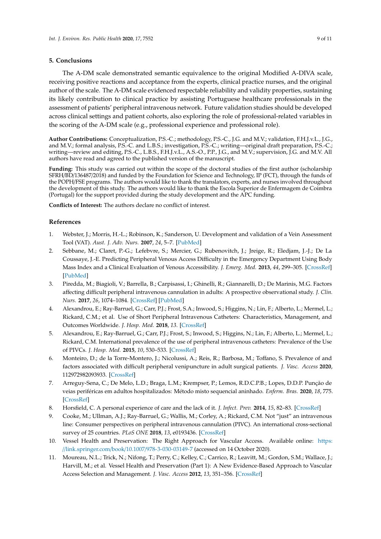### **5. Conclusions**

The A-DM scale demonstrated semantic equivalence to the original Modified A-DIVA scale, receiving positive reactions and acceptance from the experts, clinical practice nurses, and the original author of the scale. The A-DM scale evidenced respectable reliability and validity properties, sustaining its likely contribution to clinical practice by assisting Portuguese healthcare professionals in the assessment of patients' peripheral intravenous network. Future validation studies should be developed across clinical settings and patient cohorts, also exploring the role of professional-related variables in the scoring of the A-DM scale (e.g., professional experience and professional role).

**Author Contributions:** Conceptualization, P.S.-C.; methodology, P.S.-C., J.G. and M.V.; validation, F.H.J.v.L., J.G., and M.V.; formal analysis, P.S.-C. and L.B.S.; investigation, P.S.-C.; writing—original draft preparation, P.S.-C.; writing—review and editing, P.S.-C., L.B.S., F.H.J.v.L., A.S.-O., P.P., J.G., and M.V.; supervision, J.G. and M.V. All authors have read and agreed to the published version of the manuscript.

**Funding:** This study was carried out within the scope of the doctoral studies of the first author (scholarship SFRH/BD/136487/2018) and funded by the Foundation for Science and Technology, IP (FCT), through the funds of the POPH/FSE programs. The authors would like to thank the translators, experts, and nurses involved throughout the development of this study. The authors would like to thank the Escola Superior de Enfermagem de Coimbra (Portugal) for the support provided during the study development and the APC funding.

**Conflicts of Interest:** The authors declare no conflict of interest.

#### **References**

- <span id="page-8-0"></span>1. Webster, J.; Morris, H.-L.; Robinson, K.; Sanderson, U. Development and validation of a Vein Assessment Tool (VAT). *Aust. J. Adv. Nurs.* **2007**, *24*, 5–7. [\[PubMed\]](http://www.ncbi.nlm.nih.gov/pubmed/17682406)
- <span id="page-8-1"></span>2. Sebbane, M.; Claret, P.-G.; Lefebvre, S.; Mercier, G.; Rubenovitch, J.; Jreige, R.; Eledjam, J.-J.; De La Coussaye, J.-E. Predicting Peripheral Venous Access Difficulty in the Emergency Department Using Body Mass Index and a Clinical Evaluation of Venous Accessibility. *J. Emerg. Med.* **2013**, *44*, 299–305. [\[CrossRef\]](http://dx.doi.org/10.1016/j.jemermed.2012.07.051) [\[PubMed\]](http://www.ncbi.nlm.nih.gov/pubmed/22981661)
- <span id="page-8-2"></span>3. Piredda, M.; Biagioli, V.; Barrella, B.; Carpisassi, I.; Ghinelli, R.; Giannarelli, D.; De Marinis, M.G. Factors affecting difficult peripheral intravenous cannulation in adults: A prospective observational study. *J. Clin. Nurs.* **2017**, *26*, 1074–1084. [\[CrossRef\]](http://dx.doi.org/10.1111/jocn.13444) [\[PubMed\]](http://www.ncbi.nlm.nih.gov/pubmed/27324945)
- <span id="page-8-4"></span>4. Alexandrou, E.; Ray-Barruel, G.; Carr, P.J.; Frost, S.A.; Inwood, S.; Higgins, N.; Lin, F.; Alberto, L.; Mermel, L.; Rickard, C.M.; et al. Use of Short Peripheral Intravenous Catheters: Characteristics, Management, and Outcomes Worldwide. *J. Hosp. Med.* **2018**, *13*. [\[CrossRef\]](http://dx.doi.org/10.12788/jhm.3039)
- <span id="page-8-3"></span>5. Alexandrou, E.; Ray-Barruel, G.; Carr, P.J.; Frost, S.; Inwood, S.; Higgins, N.; Lin, F.; Alberto, L.; Mermel, L.; Rickard, C.M. International prevalence of the use of peripheral intravenous catheters: Prevalence of the Use of PIVCs. *J. Hosp. Med.* **2015**, *10*, 530–533. [\[CrossRef\]](http://dx.doi.org/10.1002/jhm.2389)
- <span id="page-8-5"></span>6. Monteiro, D.; de la Torre-Montero, J.; Nicolussi, A.; Reis, R.; Barbosa, M.; Toffano, S. Prevalence of and factors associated with difficult peripheral venipuncture in adult surgical patients. *J. Vasc. Access* **2020**, 112972982093933. [\[CrossRef\]](http://dx.doi.org/10.1177/1129729820939335)
- <span id="page-8-6"></span>7. Arreguy-Sena, C.; De Melo, L.D.; Braga, L.M.; Krempser, P.; Lemos, R.D.C.P.B.; Lopes, D.D.P. Punção de veias periféricas em adultos hospitalizados: Método misto sequencial aninhado. *Enferm. Bras.* **2020**, *18*, 775. [\[CrossRef\]](http://dx.doi.org/10.33233/eb.v18i6.3255)
- <span id="page-8-7"></span>8. Horsfield, C. A personal experience of care and the lack of it. *J. Infect. Prev.* **2014**, *15*, 82–83. [\[CrossRef\]](http://dx.doi.org/10.1177/1757177413502245)
- <span id="page-8-8"></span>9. Cooke, M.; Ullman, A.J.; Ray-Barruel, G.; Wallis, M.; Corley, A.; Rickard, C.M. Not "just" an intravenous line: Consumer perspectives on peripheral intravenous cannulation (PIVC). An international cross-sectional survey of 25 countries. *PLoS ONE* **2018**, *13*, e0193436. [\[CrossRef\]](http://dx.doi.org/10.1371/journal.pone.0193436)
- <span id="page-8-9"></span>10. Vessel Health and Preservation: The Right Approach for Vascular Access. Available online: [https:](https://link.springer.com/book/10.1007/978-3-030-03149-7) //link.springer.com/book/10.1007/[978-3-030-03149-7](https://link.springer.com/book/10.1007/978-3-030-03149-7) (accessed on 14 October 2020).
- <span id="page-8-10"></span>11. Moureau, N.L.; Trick, N.; Nifong, T.; Perry, C.; Kelley, C.; Carrico, R.; Leavitt, M.; Gordon, S.M.; Wallace, J.; Harvill, M.; et al. Vessel Health and Preservation (Part 1): A New Evidence-Based Approach to Vascular Access Selection and Management. *J. Vasc. Access* **2012**, *13*, 351–356. [\[CrossRef\]](http://dx.doi.org/10.5301/jva.5000042)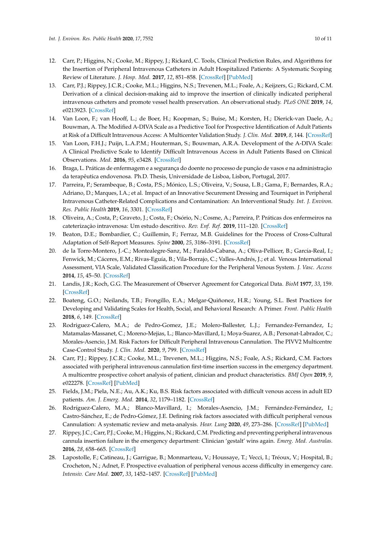- <span id="page-9-0"></span>12. Carr, P.; Higgins, N.; Cooke, M.; Rippey, J.; Rickard, C. Tools, Clinical Prediction Rules, and Algorithms for the Insertion of Peripheral Intravenous Catheters in Adult Hospitalized Patients: A Systematic Scoping Review of Literature. *J. Hosp. Med.* **2017**, *12*, 851–858. [\[CrossRef\]](http://dx.doi.org/10.12788/jhm.2836) [\[PubMed\]](http://www.ncbi.nlm.nih.gov/pubmed/28991954)
- <span id="page-9-7"></span><span id="page-9-1"></span>13. Carr, P.J.; Rippey, J.C.R.; Cooke, M.L.; Higgins, N.S.; Trevenen, M.L.; Foale, A.; Keijzers, G.; Rickard, C.M. Derivation of a clinical decision-making aid to improve the insertion of clinically indicated peripheral intravenous catheters and promote vessel health preservation. An observational study. *PLoS ONE* **2019**, *14*, e0213923. [\[CrossRef\]](http://dx.doi.org/10.1371/journal.pone.0213923)
- <span id="page-9-2"></span>14. Van Loon, F.; van Hooff, L.; de Boer, H.; Koopman, S.; Buise, M.; Korsten, H.; Dierick-van Daele, A.; Bouwman, A. The Modified A-DIVA Scale as a Predictive Tool for Prospective Identification of Adult Patients at Risk of a Difficult Intravenous Access: A Multicenter Validation Study. *J. Clin. Med.* **2019**, *8*, 144. [\[CrossRef\]](http://dx.doi.org/10.3390/jcm8020144)
- <span id="page-9-3"></span>15. Van Loon, F.H.J.; Puijn, L.A.P.M.; Houterman, S.; Bouwman, A.R.A. Development of the A-DIVA Scale: A Clinical Predictive Scale to Identify Difficult Intravenous Access in Adult Patients Based on Clinical Observations. *Med.* **2016**, *95*, e3428. [\[CrossRef\]](http://dx.doi.org/10.1097/MD.0000000000003428)
- <span id="page-9-4"></span>16. Braga, L. Práticas de enfermagem e a segurança do doente no processo de punção de vasos e na administração da terapêutica endovenosa. Ph.D. Thesis, Universidade de Lisboa, Lisbon, Portugal, 2017.
- <span id="page-9-16"></span>17. Parreira, P.; Serambeque, B.; Costa, P.S.; Mónico, L.S.; Oliveira, V.; Sousa, L.B.; Gama, F.; Bernardes, R.A.; Adriano, D.; Marques, I.A.; et al. Impact of an Innovative Securement Dressing and Tourniquet in Peripheral Intravenous Catheter-Related Complications and Contamination: An Interventional Study. *Int. J. Environ. Res. Public Health* **2019**, *16*, 3301. [\[CrossRef\]](http://dx.doi.org/10.3390/ijerph16183301)
- <span id="page-9-5"></span>18. Oliveira, A.; Costa, P.; Graveto, J.; Costa, F.; Osório, N.; Cosme, A.; Parreira, P. Práticas dos enfermeiros na cateterização intravenosa: Um estudo descritivo. *Rev. Enf. Ref.* **2019**, 111–120. [\[CrossRef\]](http://dx.doi.org/10.12707/RIV19006)
- <span id="page-9-6"></span>19. Beaton, D.E.; Bombardier, C.; Guillemin, F.; Ferraz, M.B. Guidelines for the Process of Cross-Cultural Adaptation of Self-Report Measures. *Spine* **2000**, *25*, 3186–3191. [\[CrossRef\]](http://dx.doi.org/10.1097/00007632-200012150-00014)
- <span id="page-9-8"></span>20. de la Torre-Montero, J.-C.; Montealegre-Sanz, M.; Faraldo-Cabana, A.; Oliva-Pellicer, B.; García-Real, I.; Fenwick, M.; Cáceres, E.M.; Rivas-Eguía, B.; Vila-Borrajo, C.; Valles-Andrés, J.; et al. Venous International Assessment, VIA Scale, Validated Classification Procedure for the Peripheral Venous System. *J. Vasc. Access* **2014**, *15*, 45–50. [\[CrossRef\]](http://dx.doi.org/10.5301/jva.5000173)
- <span id="page-9-9"></span>21. Landis, J.R.; Koch, G.G. The Measurement of Observer Agreement for Categorical Data. *BioM* **1977**, *33*, 159. [\[CrossRef\]](http://dx.doi.org/10.2307/2529310)
- <span id="page-9-10"></span>22. Boateng, G.O.; Neilands, T.B.; Frongillo, E.A.; Melgar-Quiñonez, H.R.; Young, S.L. Best Practices for Developing and Validating Scales for Health, Social, and Behavioral Research: A Primer. *Front. Public Health* **2018**, *6*, 149. [\[CrossRef\]](http://dx.doi.org/10.3389/fpubh.2018.00149)
- <span id="page-9-11"></span>23. Rodriguez-Calero, M.A.; de Pedro-Gomez, J.E.; Molero-Ballester, L.J.; Fernandez-Fernandez, I.; Matamalas-Massanet, C.; Moreno-Mejias, L.; Blanco-Mavillard, I.; Moya-Suarez, A.B.; Personat-Labrador, C.; Morales-Asencio, J.M. Risk Factors for Difficult Peripheral Intravenous Cannulation. The PIVV2 Multicentre Case-Control Study. *J. Clin. Med.* **2020**, *9*, 799. [\[CrossRef\]](http://dx.doi.org/10.3390/jcm9030799)
- <span id="page-9-12"></span>24. Carr, P.J.; Rippey, J.C.R.; Cooke, M.L.; Trevenen, M.L.; Higgins, N.S.; Foale, A.S.; Rickard, C.M. Factors associated with peripheral intravenous cannulation first-time insertion success in the emergency department. A multicentre prospective cohort analysis of patient, clinician and product characteristics. *BMJ Open* **2019**, *9*, e022278. [\[CrossRef\]](http://dx.doi.org/10.1136/bmjopen-2018-022278) [\[PubMed\]](http://www.ncbi.nlm.nih.gov/pubmed/30944127)
- <span id="page-9-13"></span>25. Fields, J.M.; Piela, N.E.; Au, A.K.; Ku, B.S. Risk factors associated with difficult venous access in adult ED patients. *Am. J. Emerg. Med.* **2014**, *32*, 1179–1182. [\[CrossRef\]](http://dx.doi.org/10.1016/j.ajem.2014.07.008)
- <span id="page-9-14"></span>26. Rodríguez-Calero, M.A.; Blanco-Mavillard, I.; Morales-Asencio, J.M.; Fernández-Fernández, I.; Castro-Sánchez, E.; de Pedro-Gómez, J.E. Defining risk factors associated with difficult peripheral venous Cannulation: A systematic review and meta-analysis. *Hear. Lung* **2020**, *49*, 273–286. [\[CrossRef\]](http://dx.doi.org/10.1016/j.hrtlng.2020.01.009) [\[PubMed\]](http://www.ncbi.nlm.nih.gov/pubmed/32057426)
- <span id="page-9-15"></span>27. Rippey, J.C.; Carr, P.J.; Cooke, M.; Higgins, N.; Rickard, C.M. Predicting and preventing peripheral intravenous cannula insertion failure in the emergency department: Clinician 'gestalt' wins again. *Emerg. Med. Australas.* **2016**, *28*, 658–665. [\[CrossRef\]](http://dx.doi.org/10.1111/1742-6723.12695)
- 28. Lapostolle, F.; Catineau, J.; Garrigue, B.; Monmarteau, V.; Houssaye, T.; Vecci, I.; Tréoux, V.; Hospital, B.; Crocheton, N.; Adnet, F. Prospective evaluation of peripheral venous access difficulty in emergency care. *Intensiv. Care Med.* **2007**, *33*, 1452–1457. [\[CrossRef\]](http://dx.doi.org/10.1007/s00134-007-0634-y) [\[PubMed\]](http://www.ncbi.nlm.nih.gov/pubmed/17554524)